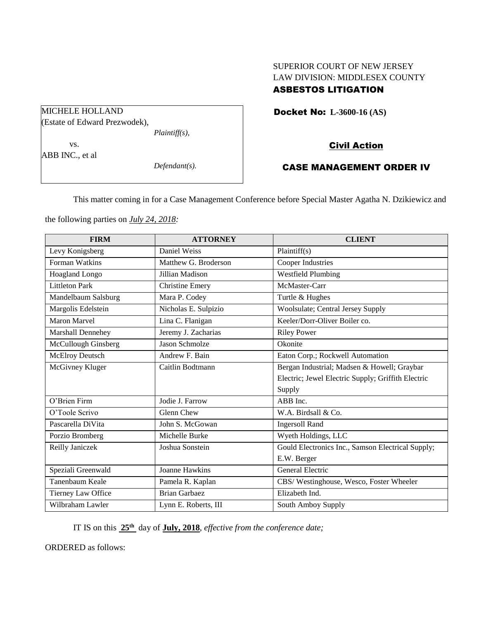# SUPERIOR COURT OF NEW JERSEY LAW DIVISION: MIDDLESEX COUNTY

# ASBESTOS LITIGATION

Docket No: **L-3600-16 (AS)** 

# Civil Action

# CASE MANAGEMENT ORDER IV

This matter coming in for a Case Management Conference before Special Master Agatha N. Dzikiewicz and

the following parties on *July 24, 2018:*

| <b>FIRM</b>           | <b>ATTORNEY</b>        | <b>CLIENT</b>                                      |
|-----------------------|------------------------|----------------------------------------------------|
| Levy Konigsberg       | Daniel Weiss           | Plaintiff $(s)$                                    |
| Forman Watkins        | Matthew G. Broderson   | <b>Cooper Industries</b>                           |
| Hoagland Longo        | Jillian Madison        | <b>Westfield Plumbing</b>                          |
| <b>Littleton Park</b> | <b>Christine Emery</b> | McMaster-Carr                                      |
| Mandelbaum Salsburg   | Mara P. Codey          | Turtle & Hughes                                    |
| Margolis Edelstein    | Nicholas E. Sulpizio   | Woolsulate; Central Jersey Supply                  |
| <b>Maron Marvel</b>   | Lina C. Flanigan       | Keeler/Dorr-Oliver Boiler co.                      |
| Marshall Dennehey     | Jeremy J. Zacharias    | <b>Riley Power</b>                                 |
| McCullough Ginsberg   | <b>Jason Schmolze</b>  | Okonite                                            |
| McElroy Deutsch       | Andrew F. Bain         | Eaton Corp.; Rockwell Automation                   |
| McGivney Kluger       | Caitlin Bodtmann       | Bergan Industrial; Madsen & Howell; Graybar        |
|                       |                        | Electric; Jewel Electric Supply; Griffith Electric |
|                       |                        | Supply                                             |
| O'Brien Firm          | Jodie J. Farrow        | ABB Inc.                                           |
| O'Toole Scrivo        | Glenn Chew             | W.A. Birdsall & Co.                                |
| Pascarella DiVita     | John S. McGowan        | <b>Ingersoll Rand</b>                              |
| Porzio Bromberg       | Michelle Burke         | Wyeth Holdings, LLC                                |
| Reilly Janiczek       | Joshua Sonstein        | Gould Electronics Inc., Samson Electrical Supply;  |
|                       |                        | E.W. Berger                                        |
| Speziali Greenwald    | <b>Joanne Hawkins</b>  | <b>General Electric</b>                            |
| Tanenbaum Keale       | Pamela R. Kaplan       | CBS/Westinghouse, Wesco, Foster Wheeler            |
| Tierney Law Office    | <b>Brian Garbaez</b>   | Elizabeth Ind.                                     |
| Wilbraham Lawler      | Lynn E. Roberts, III   | South Amboy Supply                                 |

IT IS on this **25th** day of **July, 2018**, *effective from the conference date;*

ORDERED as follows:

(Estate of Edward Prezwodek), *Plaintiff(s),*

vs. ABB INC., et al

MICHELE HOLLAND

*Defendant(s).*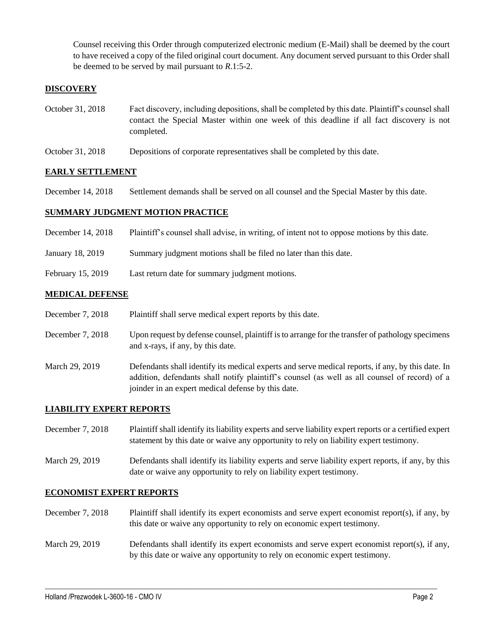Counsel receiving this Order through computerized electronic medium (E-Mail) shall be deemed by the court to have received a copy of the filed original court document. Any document served pursuant to this Order shall be deemed to be served by mail pursuant to *R*.1:5-2.

## **DISCOVERY**

- October 31, 2018 Fact discovery, including depositions, shall be completed by this date. Plaintiff's counsel shall contact the Special Master within one week of this deadline if all fact discovery is not completed.
- October 31, 2018 Depositions of corporate representatives shall be completed by this date.

#### **EARLY SETTLEMENT**

December 14, 2018 Settlement demands shall be served on all counsel and the Special Master by this date.

#### **SUMMARY JUDGMENT MOTION PRACTICE**

- December 14, 2018 Plaintiff's counsel shall advise, in writing, of intent not to oppose motions by this date.
- January 18, 2019 Summary judgment motions shall be filed no later than this date.
- February 15, 2019 Last return date for summary judgment motions.

#### **MEDICAL DEFENSE**

- December 7, 2018 Plaintiff shall serve medical expert reports by this date.
- December 7, 2018 Upon request by defense counsel, plaintiff is to arrange for the transfer of pathology specimens and x-rays, if any, by this date.
- March 29, 2019 Defendants shall identify its medical experts and serve medical reports, if any, by this date. In addition, defendants shall notify plaintiff's counsel (as well as all counsel of record) of a joinder in an expert medical defense by this date.

### **LIABILITY EXPERT REPORTS**

December 7, 2018 Plaintiff shall identify its liability experts and serve liability expert reports or a certified expert statement by this date or waive any opportunity to rely on liability expert testimony.

March 29, 2019 Defendants shall identify its liability experts and serve liability expert reports, if any, by this date or waive any opportunity to rely on liability expert testimony.

#### **ECONOMIST EXPERT REPORTS**

- December 7, 2018 Plaintiff shall identify its expert economists and serve expert economist report(s), if any, by this date or waive any opportunity to rely on economic expert testimony.
- March 29, 2019 Defendants shall identify its expert economists and serve expert economist report(s), if any, by this date or waive any opportunity to rely on economic expert testimony.

 $\_$  ,  $\_$  ,  $\_$  ,  $\_$  ,  $\_$  ,  $\_$  ,  $\_$  ,  $\_$  ,  $\_$  ,  $\_$  ,  $\_$  ,  $\_$  ,  $\_$  ,  $\_$  ,  $\_$  ,  $\_$  ,  $\_$  ,  $\_$  ,  $\_$  ,  $\_$  ,  $\_$  ,  $\_$  ,  $\_$  ,  $\_$  ,  $\_$  ,  $\_$  ,  $\_$  ,  $\_$  ,  $\_$  ,  $\_$  ,  $\_$  ,  $\_$  ,  $\_$  ,  $\_$  ,  $\_$  ,  $\_$  ,  $\_$  ,